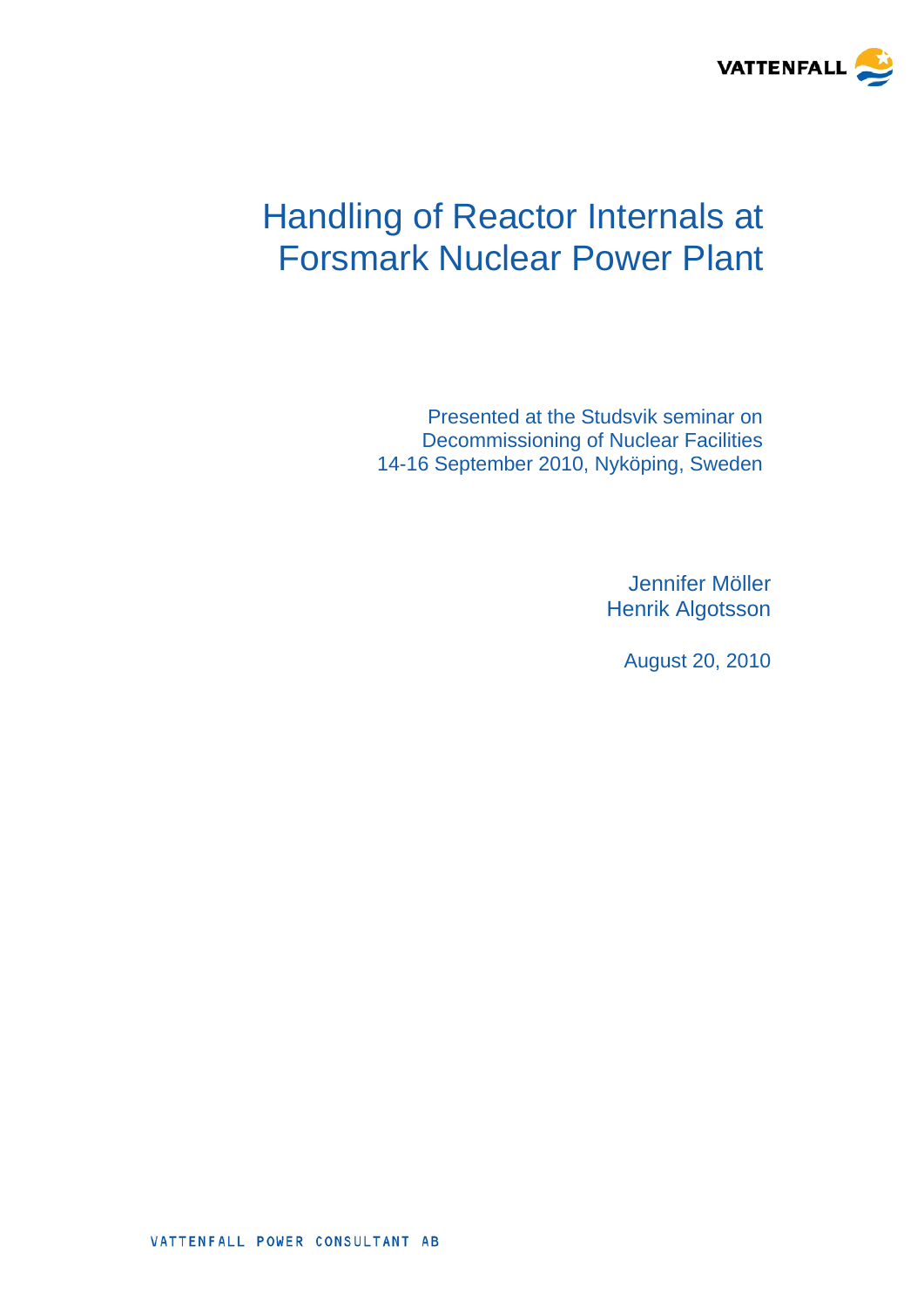

# Handling of Reactor Internals at Forsmark Nuclear Power Plant

Presented at the Studsvik seminar on Decommissioning of Nuclear Facilities 14-16 September 2010, Nyköping, Sweden

> Jennifer Möller Henrik Algotsson

> > August 20, 2010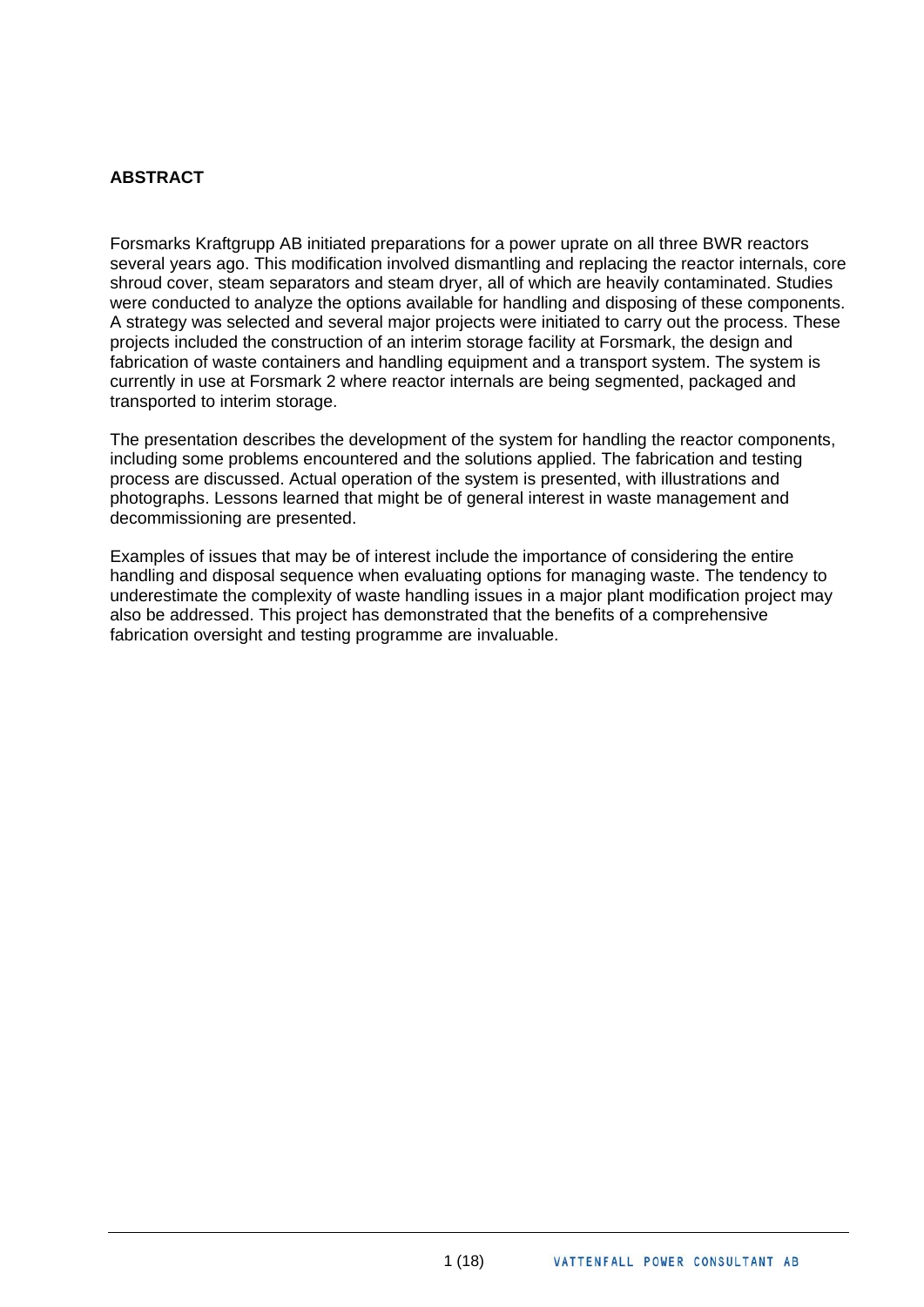# **ABSTRACT**

Forsmarks Kraftgrupp AB initiated preparations for a power uprate on all three BWR reactors several years ago. This modification involved dismantling and replacing the reactor internals, core shroud cover, steam separators and steam dryer, all of which are heavily contaminated. Studies were conducted to analyze the options available for handling and disposing of these components. A strategy was selected and several major projects were initiated to carry out the process. These projects included the construction of an interim storage facility at Forsmark, the design and fabrication of waste containers and handling equipment and a transport system. The system is currently in use at Forsmark 2 where reactor internals are being segmented, packaged and transported to interim storage.

The presentation describes the development of the system for handling the reactor components, including some problems encountered and the solutions applied. The fabrication and testing process are discussed. Actual operation of the system is presented, with illustrations and photographs. Lessons learned that might be of general interest in waste management and decommissioning are presented.

Examples of issues that may be of interest include the importance of considering the entire handling and disposal sequence when evaluating options for managing waste. The tendency to underestimate the complexity of waste handling issues in a major plant modification project may also be addressed. This project has demonstrated that the benefits of a comprehensive fabrication oversight and testing programme are invaluable.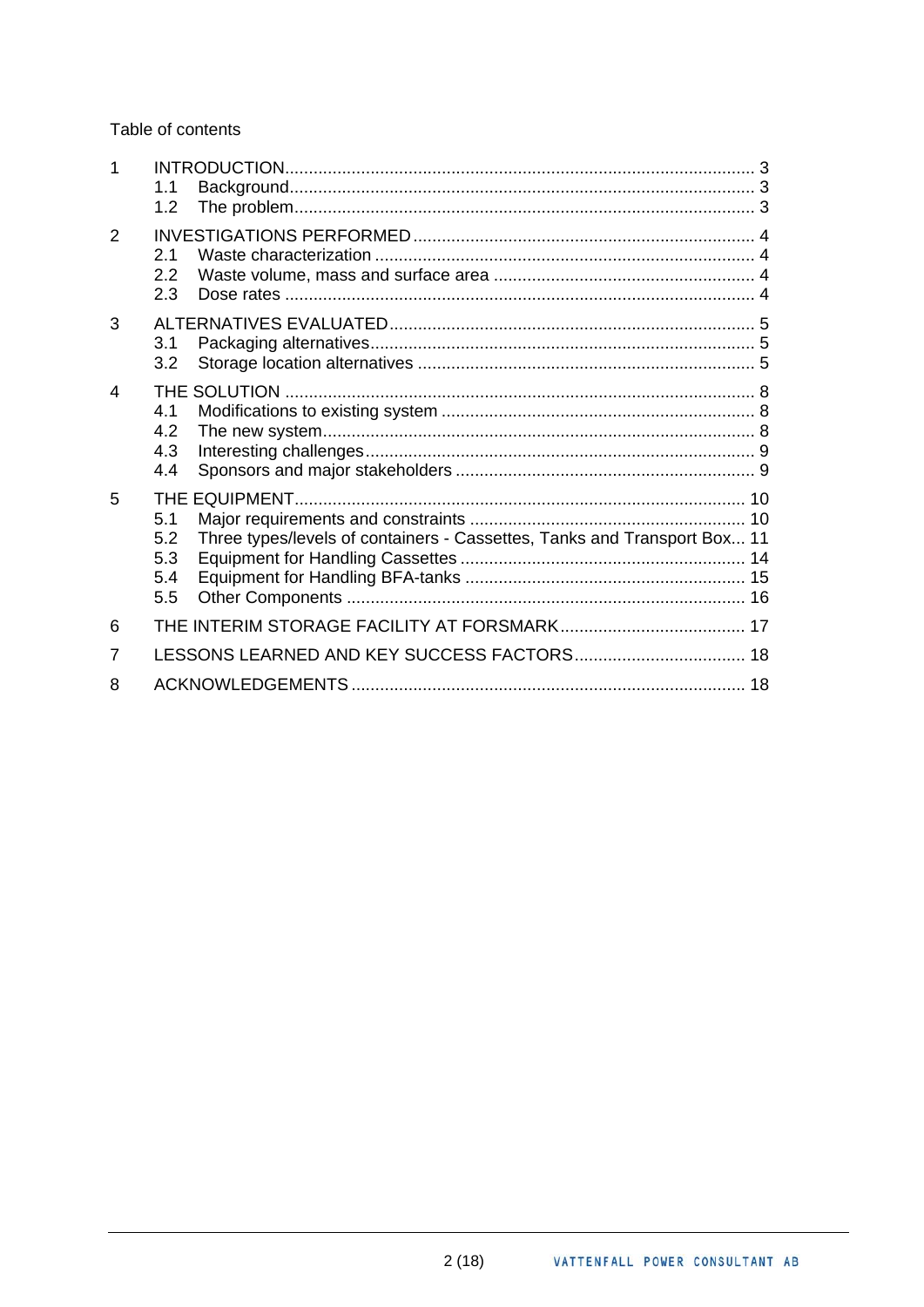Table of contents

| 1 | 1.1<br>1.2                      |                                                                          |  |
|---|---------------------------------|--------------------------------------------------------------------------|--|
| 2 | 2.1<br>2.2<br>2.3               |                                                                          |  |
| 3 | 3.1<br>3.2                      |                                                                          |  |
| 4 | 4.1<br>4.2<br>4.3<br>4.4        |                                                                          |  |
| 5 | 5.1<br>5.2<br>5.3<br>5.4<br>5.5 | Three types/levels of containers - Cassettes, Tanks and Transport Box 11 |  |
| 6 |                                 |                                                                          |  |
| 7 |                                 |                                                                          |  |
| 8 |                                 |                                                                          |  |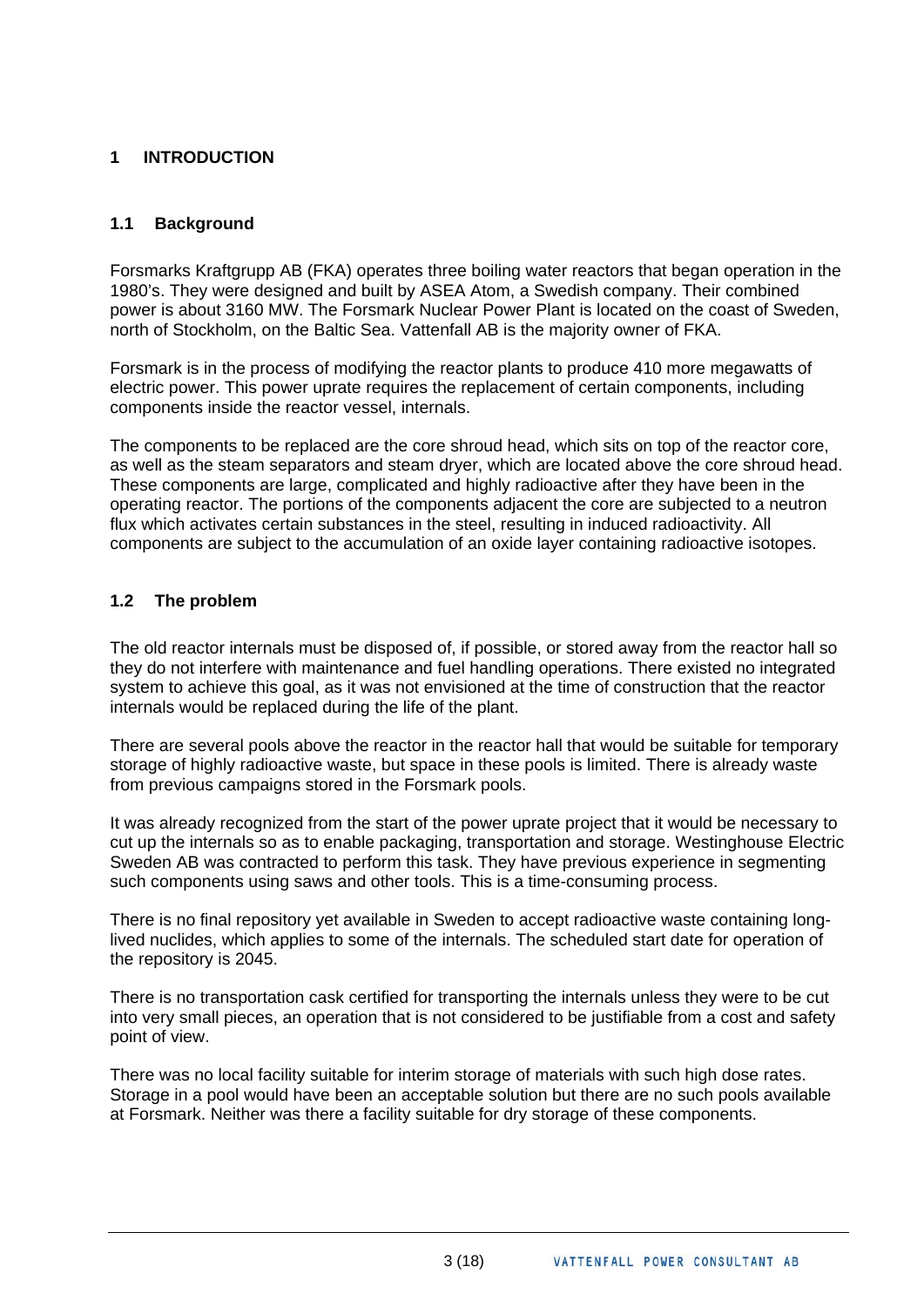# <span id="page-3-0"></span>**1 INTRODUCTION**

# **1.1 Background**

Forsmarks Kraftgrupp AB (FKA) operates three boiling water reactors that began operation in the 1980's. They were designed and built by ASEA Atom, a Swedish company. Their combined power is about 3160 MW. The Forsmark Nuclear Power Plant is located on the coast of Sweden, north of Stockholm, on the Baltic Sea. Vattenfall AB is the majority owner of FKA.

Forsmark is in the process of modifying the reactor plants to produce 410 more megawatts of electric power. This power uprate requires the replacement of certain components, including components inside the reactor vessel, internals.

The components to be replaced are the core shroud head, which sits on top of the reactor core, as well as the steam separators and steam dryer, which are located above the core shroud head. These components are large, complicated and highly radioactive after they have been in the operating reactor. The portions of the components adjacent the core are subjected to a neutron flux which activates certain substances in the steel, resulting in induced radioactivity. All components are subject to the accumulation of an oxide layer containing radioactive isotopes.

#### **1.2 The problem**

The old reactor internals must be disposed of, if possible, or stored away from the reactor hall so they do not interfere with maintenance and fuel handling operations. There existed no integrated system to achieve this goal, as it was not envisioned at the time of construction that the reactor internals would be replaced during the life of the plant.

There are several pools above the reactor in the reactor hall that would be suitable for temporary storage of highly radioactive waste, but space in these pools is limited. There is already waste from previous campaigns stored in the Forsmark pools.

It was already recognized from the start of the power uprate project that it would be necessary to cut up the internals so as to enable packaging, transportation and storage. Westinghouse Electric Sweden AB was contracted to perform this task. They have previous experience in segmenting such components using saws and other tools. This is a time-consuming process.

There is no final repository yet available in Sweden to accept radioactive waste containing longlived nuclides, which applies to some of the internals. The scheduled start date for operation of the repository is 2045.

There is no transportation cask certified for transporting the internals unless they were to be cut into very small pieces, an operation that is not considered to be justifiable from a cost and safety point of view.

There was no local facility suitable for interim storage of materials with such high dose rates. Storage in a pool would have been an acceptable solution but there are no such pools available at Forsmark. Neither was there a facility suitable for dry storage of these components.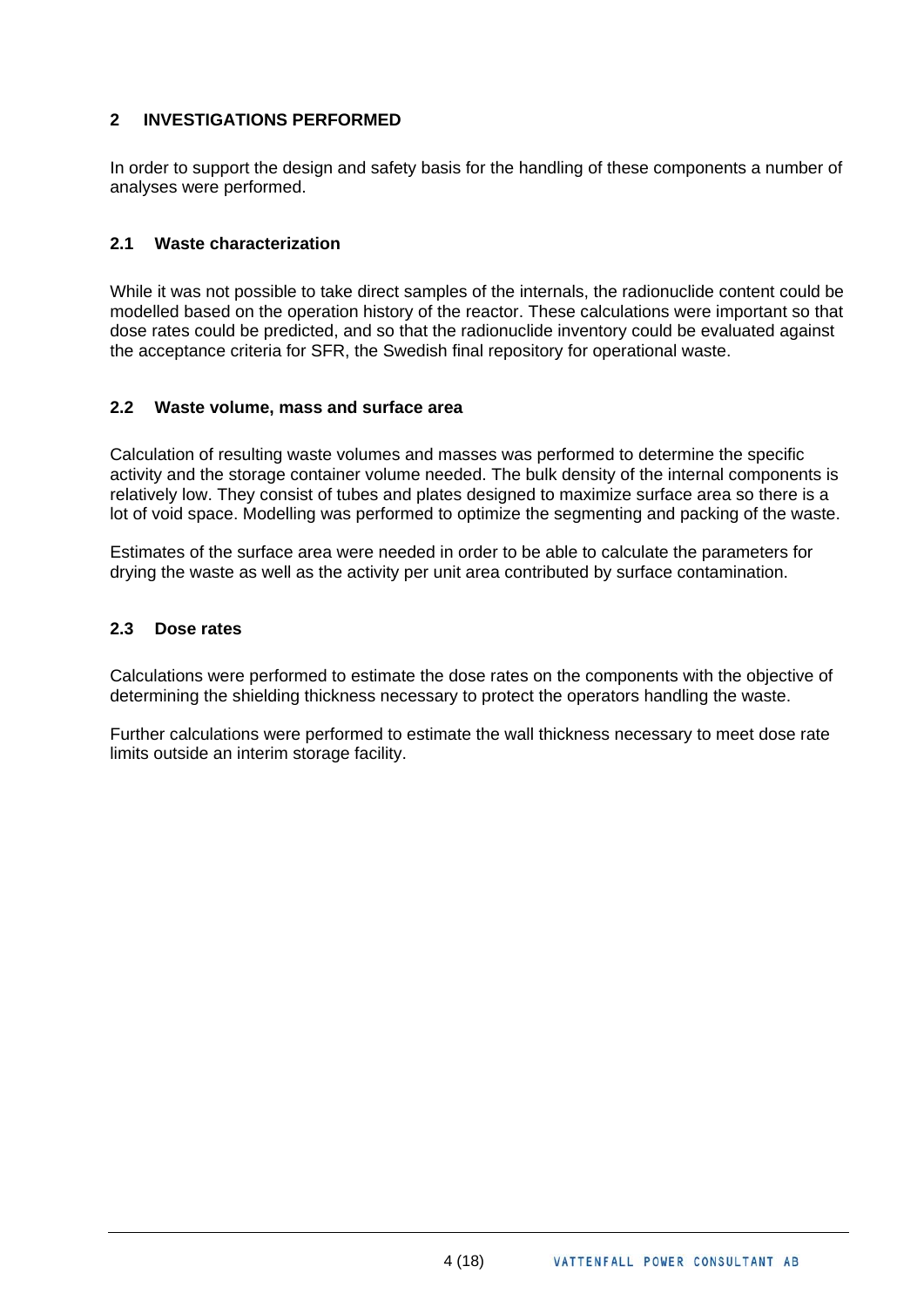# <span id="page-4-0"></span>**2 INVESTIGATIONS PERFORMED**

In order to support the design and safety basis for the handling of these components a number of analyses were performed.

#### **2.1 Waste characterization**

While it was not possible to take direct samples of the internals, the radionuclide content could be modelled based on the operation history of the reactor. These calculations were important so that dose rates could be predicted, and so that the radionuclide inventory could be evaluated against the acceptance criteria for SFR, the Swedish final repository for operational waste.

#### **2.2 Waste volume, mass and surface area**

Calculation of resulting waste volumes and masses was performed to determine the specific activity and the storage container volume needed. The bulk density of the internal components is relatively low. They consist of tubes and plates designed to maximize surface area so there is a lot of void space. Modelling was performed to optimize the segmenting and packing of the waste.

Estimates of the surface area were needed in order to be able to calculate the parameters for drying the waste as well as the activity per unit area contributed by surface contamination.

#### **2.3 Dose rates**

Calculations were performed to estimate the dose rates on the components with the objective of determining the shielding thickness necessary to protect the operators handling the waste.

Further calculations were performed to estimate the wall thickness necessary to meet dose rate limits outside an interim storage facility.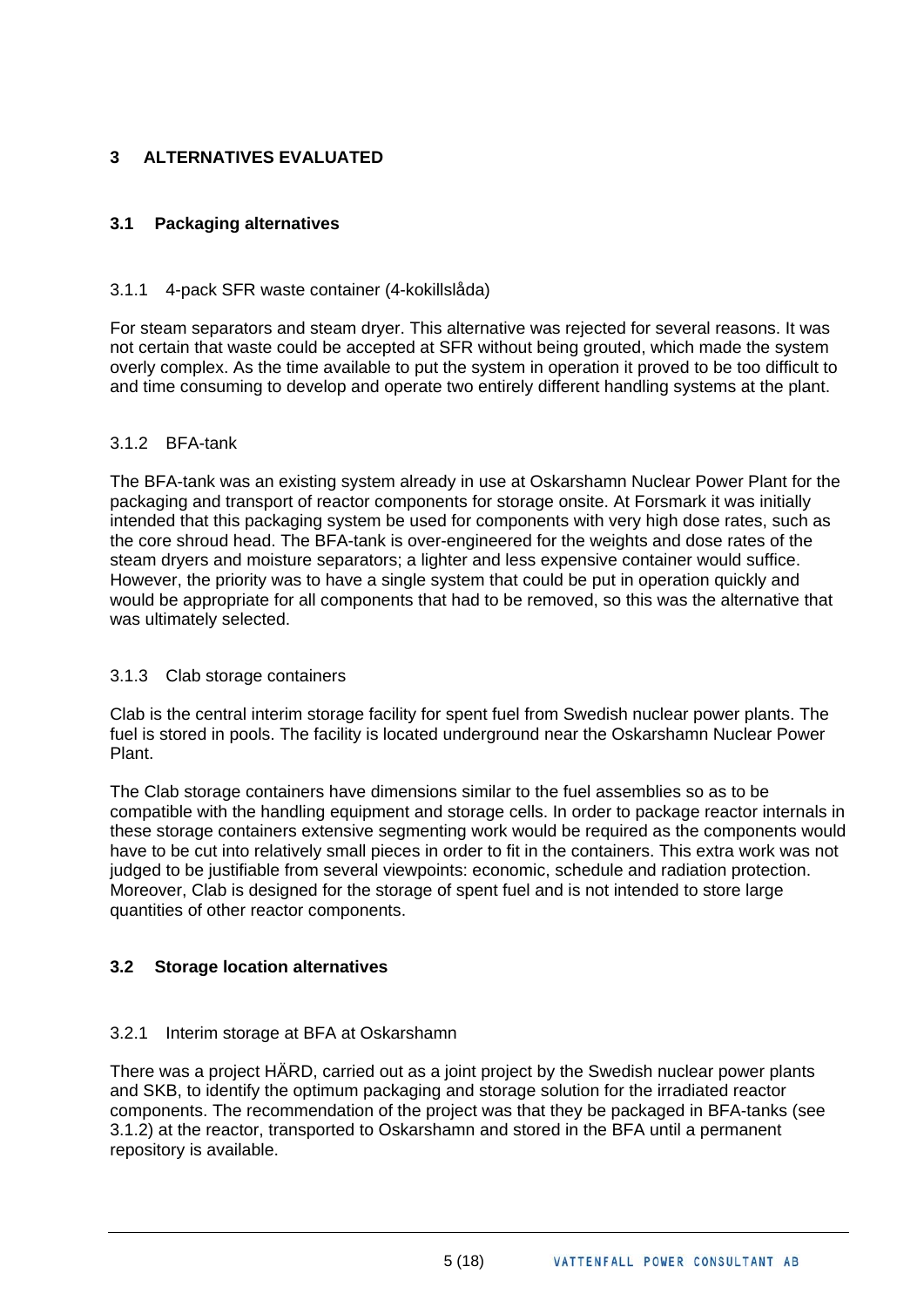# <span id="page-5-0"></span>**3 ALTERNATIVES EVALUATED**

# **3.1 Packaging alternatives**

### 3.1.1 4-pack SFR waste container (4-kokillslåda)

For steam separators and steam dryer. This alternative was rejected for several reasons. It was not certain that waste could be accepted at SFR without being grouted, which made the system overly complex. As the time available to put the system in operation it proved to be too difficult to and time consuming to develop and operate two entirely different handling systems at the plant.

#### 3.1.2 BFA-tank

The BFA-tank was an existing system already in use at Oskarshamn Nuclear Power Plant for the packaging and transport of reactor components for storage onsite. At Forsmark it was initially intended that this packaging system be used for components with very high dose rates, such as the core shroud head. The BFA-tank is over-engineered for the weights and dose rates of the steam dryers and moisture separators; a lighter and less expensive container would suffice. However, the priority was to have a single system that could be put in operation quickly and would be appropriate for all components that had to be removed, so this was the alternative that was ultimately selected.

#### 3.1.3 Clab storage containers

Clab is the central interim storage facility for spent fuel from Swedish nuclear power plants. The fuel is stored in pools. The facility is located underground near the Oskarshamn Nuclear Power Plant.

The Clab storage containers have dimensions similar to the fuel assemblies so as to be compatible with the handling equipment and storage cells. In order to package reactor internals in these storage containers extensive segmenting work would be required as the components would have to be cut into relatively small pieces in order to fit in the containers. This extra work was not judged to be justifiable from several viewpoints: economic, schedule and radiation protection. Moreover, Clab is designed for the storage of spent fuel and is not intended to store large quantities of other reactor components.

# **3.2 Storage location alternatives**

#### 3.2.1 Interim storage at BFA at Oskarshamn

There was a project HÄRD, carried out as a joint project by the Swedish nuclear power plants and SKB, to identify the optimum packaging and storage solution for the irradiated reactor components. The recommendation of the project was that they be packaged in BFA-tanks (see 3.1.2) at the reactor, transported to Oskarshamn and stored in the BFA until a permanent repository is available.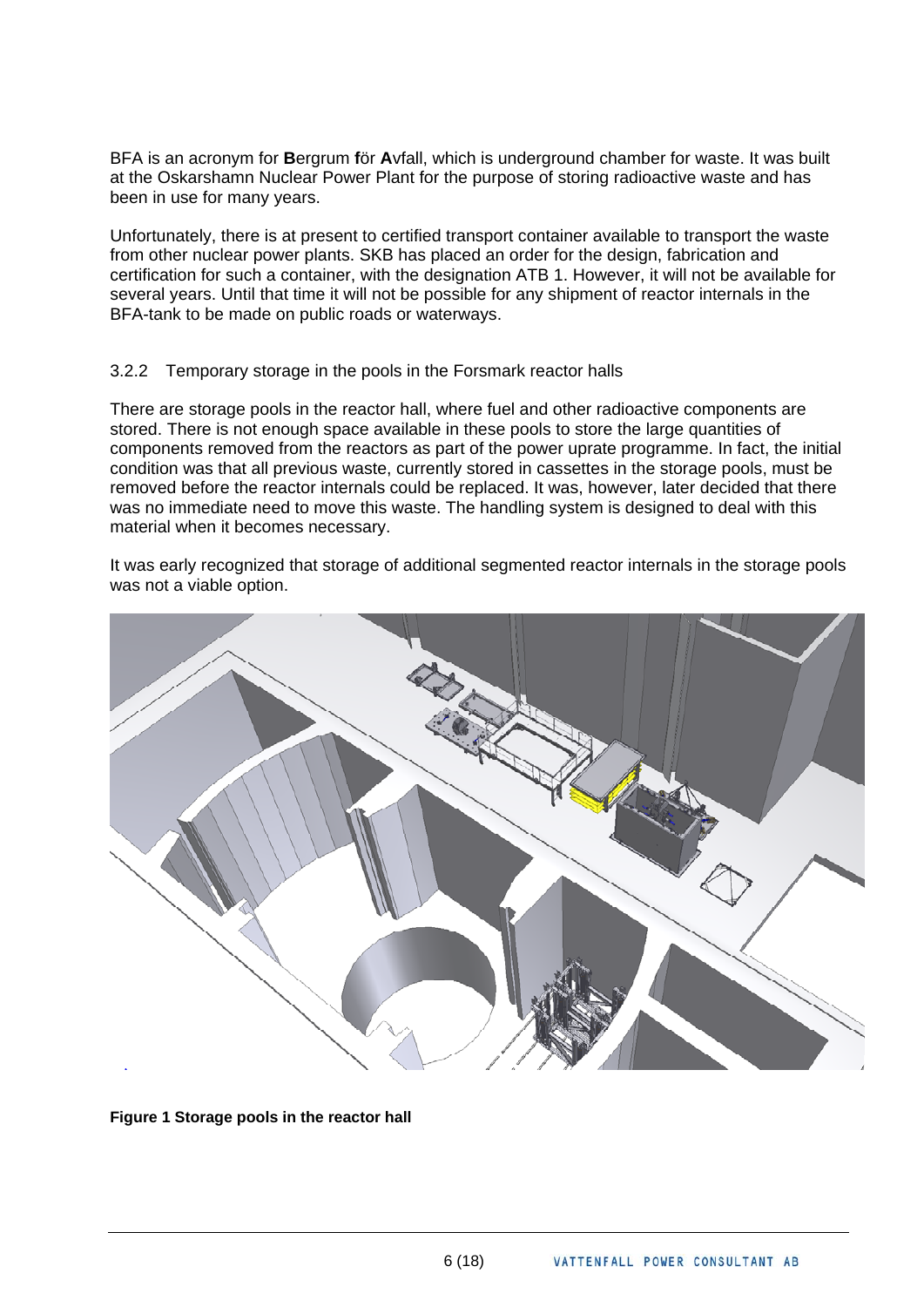BFA is an acronym for **B**ergrum **f**ör **A**vfall, which is underground chamber for waste. It was built at the Oskarshamn Nuclear Power Plant for the purpose of storing radioactive waste and has been in use for many years.

Unfortunately, there is at present to certified transport container available to transport the waste from other nuclear power plants. SKB has placed an order for the design, fabrication and certification for such a container, with the designation ATB 1. However, it will not be available for several years. Until that time it will not be possible for any shipment of reactor internals in the BFA-tank to be made on public roads or waterways.

#### 3.2.2 Temporary storage in the pools in the Forsmark reactor halls

There are storage pools in the reactor hall, where fuel and other radioactive components are stored. There is not enough space available in these pools to store the large quantities of components removed from the reactors as part of the power uprate programme. In fact, the initial condition was that all previous waste, currently stored in cassettes in the storage pools, must be removed before the reactor internals could be replaced. It was, however, later decided that there was no immediate need to move this waste. The handling system is designed to deal with this material when it becomes necessary.

It was early recognized that storage of additional segmented reactor internals in the storage pools was not a viable option.



**Figure 1 Storage pools in the reactor hall**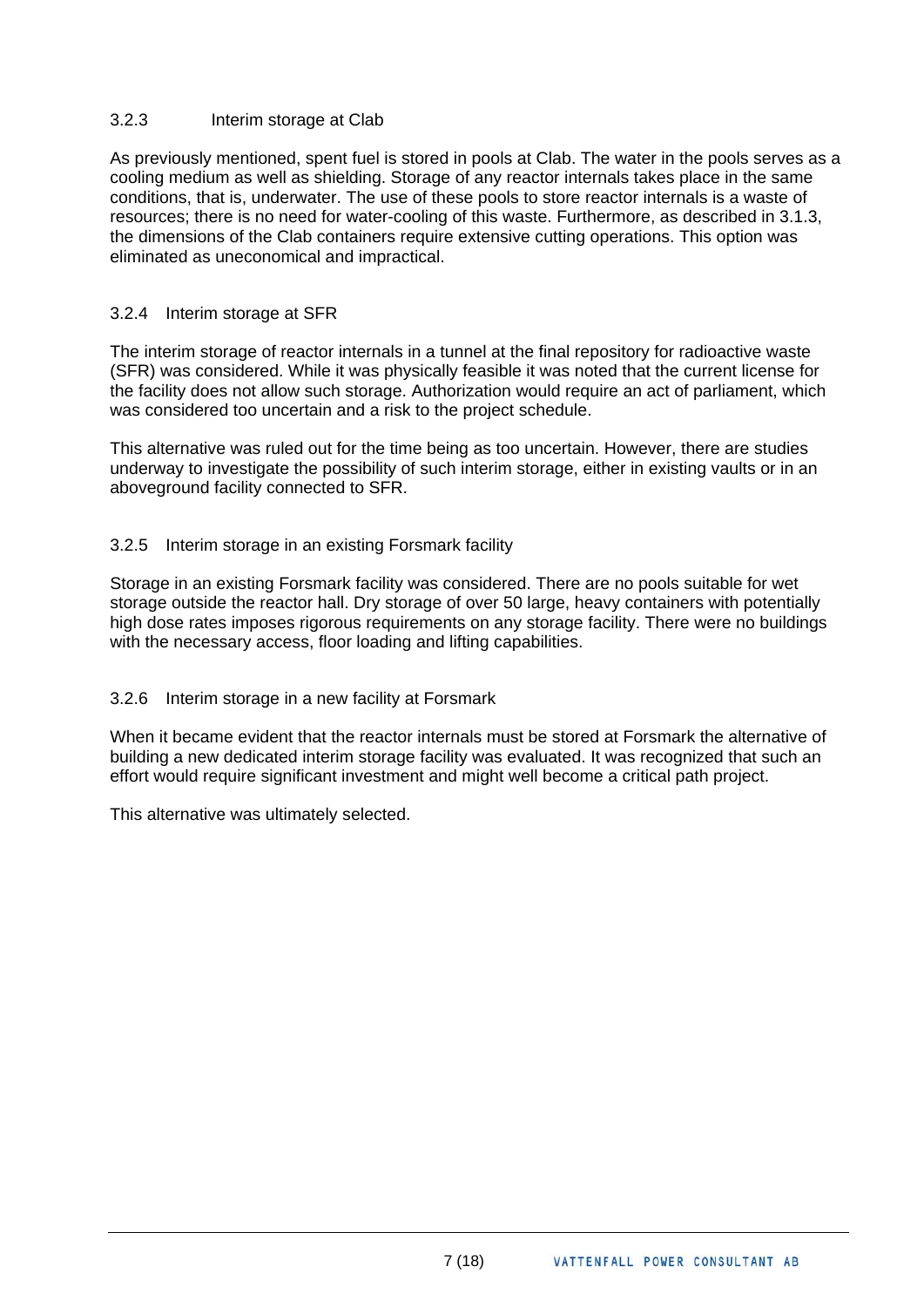#### 3.2.3 Interim storage at Clab

As previously mentioned, spent fuel is stored in pools at Clab. The water in the pools serves as a cooling medium as well as shielding. Storage of any reactor internals takes place in the same conditions, that is, underwater. The use of these pools to store reactor internals is a waste of resources; there is no need for water-cooling of this waste. Furthermore, as described in 3.1.3, the dimensions of the Clab containers require extensive cutting operations. This option was eliminated as uneconomical and impractical.

#### 3.2.4 Interim storage at SFR

The interim storage of reactor internals in a tunnel at the final repository for radioactive waste (SFR) was considered. While it was physically feasible it was noted that the current license for the facility does not allow such storage. Authorization would require an act of parliament, which was considered too uncertain and a risk to the project schedule.

This alternative was ruled out for the time being as too uncertain. However, there are studies underway to investigate the possibility of such interim storage, either in existing vaults or in an aboveground facility connected to SFR.

#### 3.2.5 Interim storage in an existing Forsmark facility

Storage in an existing Forsmark facility was considered. There are no pools suitable for wet storage outside the reactor hall. Dry storage of over 50 large, heavy containers with potentially high dose rates imposes rigorous requirements on any storage facility. There were no buildings with the necessary access, floor loading and lifting capabilities.

#### 3.2.6 Interim storage in a new facility at Forsmark

When it became evident that the reactor internals must be stored at Forsmark the alternative of building a new dedicated interim storage facility was evaluated. It was recognized that such an effort would require significant investment and might well become a critical path project.

This alternative was ultimately selected.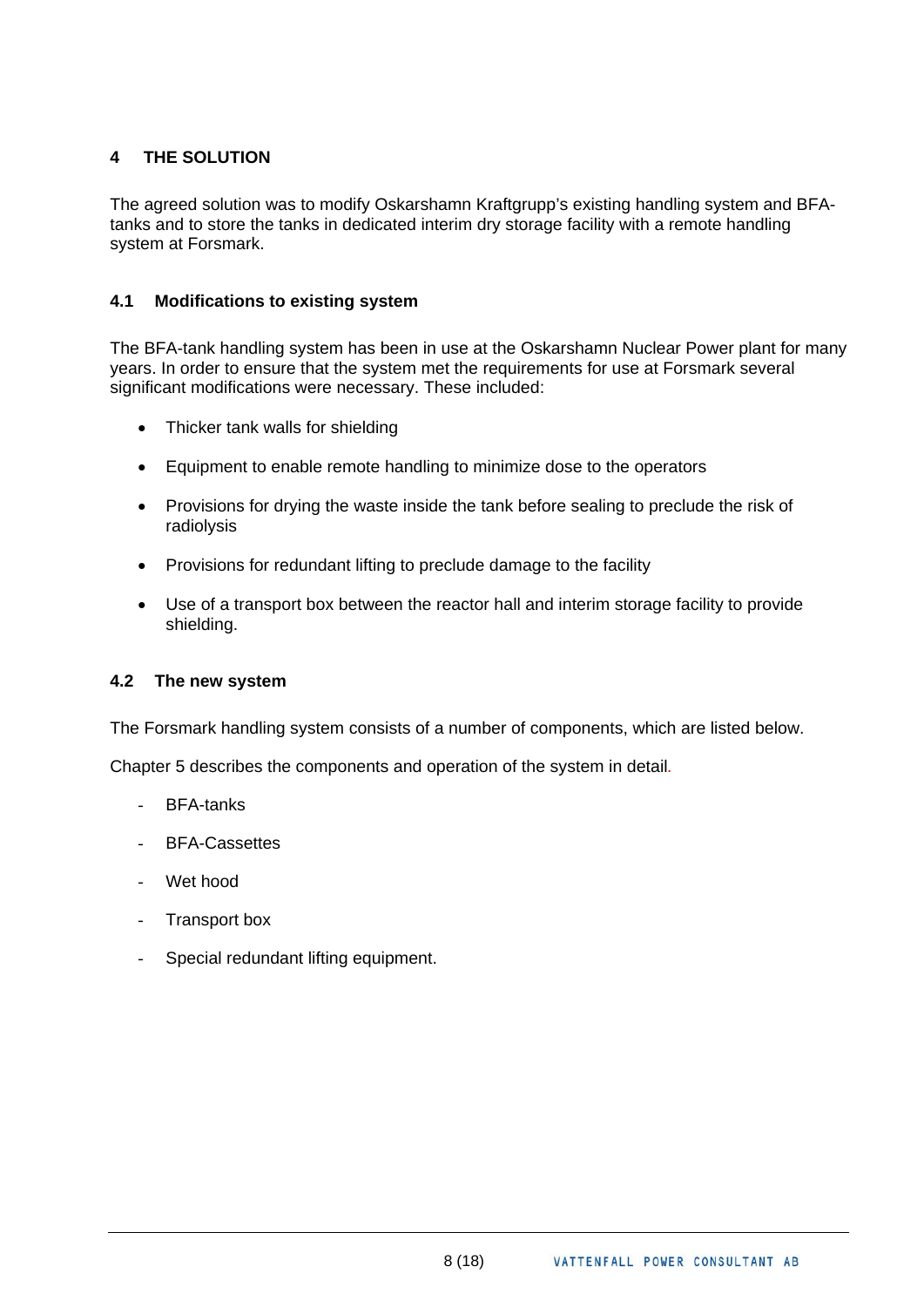# <span id="page-8-0"></span>**4 THE SOLUTION**

The agreed solution was to modify Oskarshamn Kraftgrupp's existing handling system and BFAtanks and to store the tanks in dedicated interim dry storage facility with a remote handling system at Forsmark.

# **4.1 Modifications to existing system**

The BFA-tank handling system has been in use at the Oskarshamn Nuclear Power plant for many years. In order to ensure that the system met the requirements for use at Forsmark several significant modifications were necessary. These included:

- Thicker tank walls for shielding
- Equipment to enable remote handling to minimize dose to the operators
- Provisions for drying the waste inside the tank before sealing to preclude the risk of radiolysis
- Provisions for redundant lifting to preclude damage to the facility
- Use of a transport box between the reactor hall and interim storage facility to provide shielding.

# **4.2 The new system**

The Forsmark handling system consists of a number of components, which are listed below.

Chapter 5 describes the components and operation of the system in detail*.* 

- BFA-tanks
- BFA-Cassettes
- Wet hood
- Transport box
- Special redundant lifting equipment.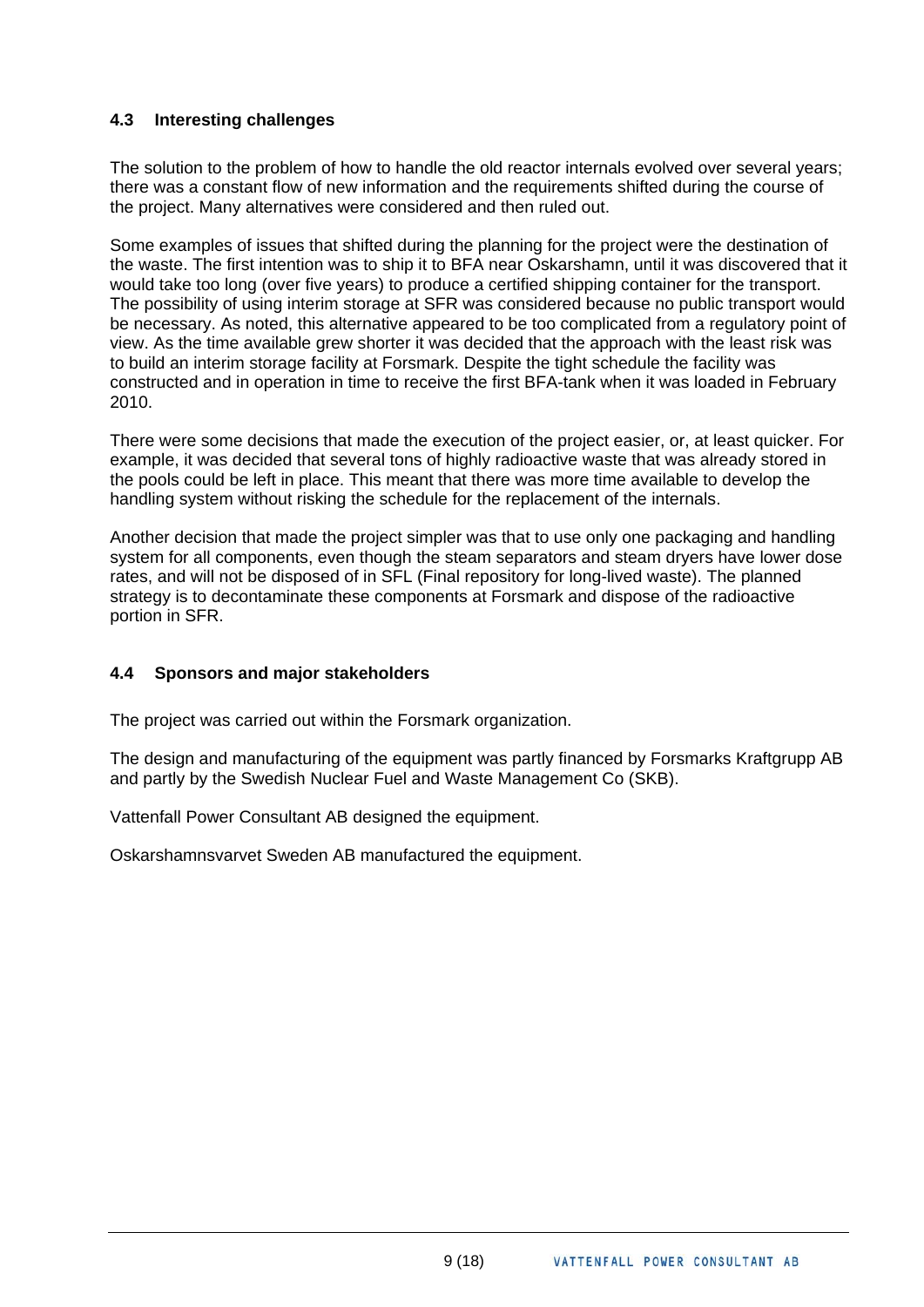# <span id="page-9-0"></span>**4.3 Interesting challenges**

The solution to the problem of how to handle the old reactor internals evolved over several years; there was a constant flow of new information and the requirements shifted during the course of the project. Many alternatives were considered and then ruled out.

Some examples of issues that shifted during the planning for the project were the destination of the waste. The first intention was to ship it to BFA near Oskarshamn, until it was discovered that it would take too long (over five years) to produce a certified shipping container for the transport. The possibility of using interim storage at SFR was considered because no public transport would be necessary. As noted, this alternative appeared to be too complicated from a regulatory point of view. As the time available grew shorter it was decided that the approach with the least risk was to build an interim storage facility at Forsmark. Despite the tight schedule the facility was constructed and in operation in time to receive the first BFA-tank when it was loaded in February 2010.

There were some decisions that made the execution of the project easier, or, at least quicker. For example, it was decided that several tons of highly radioactive waste that was already stored in the pools could be left in place. This meant that there was more time available to develop the handling system without risking the schedule for the replacement of the internals.

Another decision that made the project simpler was that to use only one packaging and handling system for all components, even though the steam separators and steam dryers have lower dose rates, and will not be disposed of in SFL (Final repository for long-lived waste). The planned strategy is to decontaminate these components at Forsmark and dispose of the radioactive portion in SFR.

# **4.4 Sponsors and major stakeholders**

The project was carried out within the Forsmark organization.

The design and manufacturing of the equipment was partly financed by Forsmarks Kraftgrupp AB and partly by the Swedish Nuclear Fuel and Waste Management Co (SKB).

Vattenfall Power Consultant AB designed the equipment.

Oskarshamnsvarvet Sweden AB manufactured the equipment.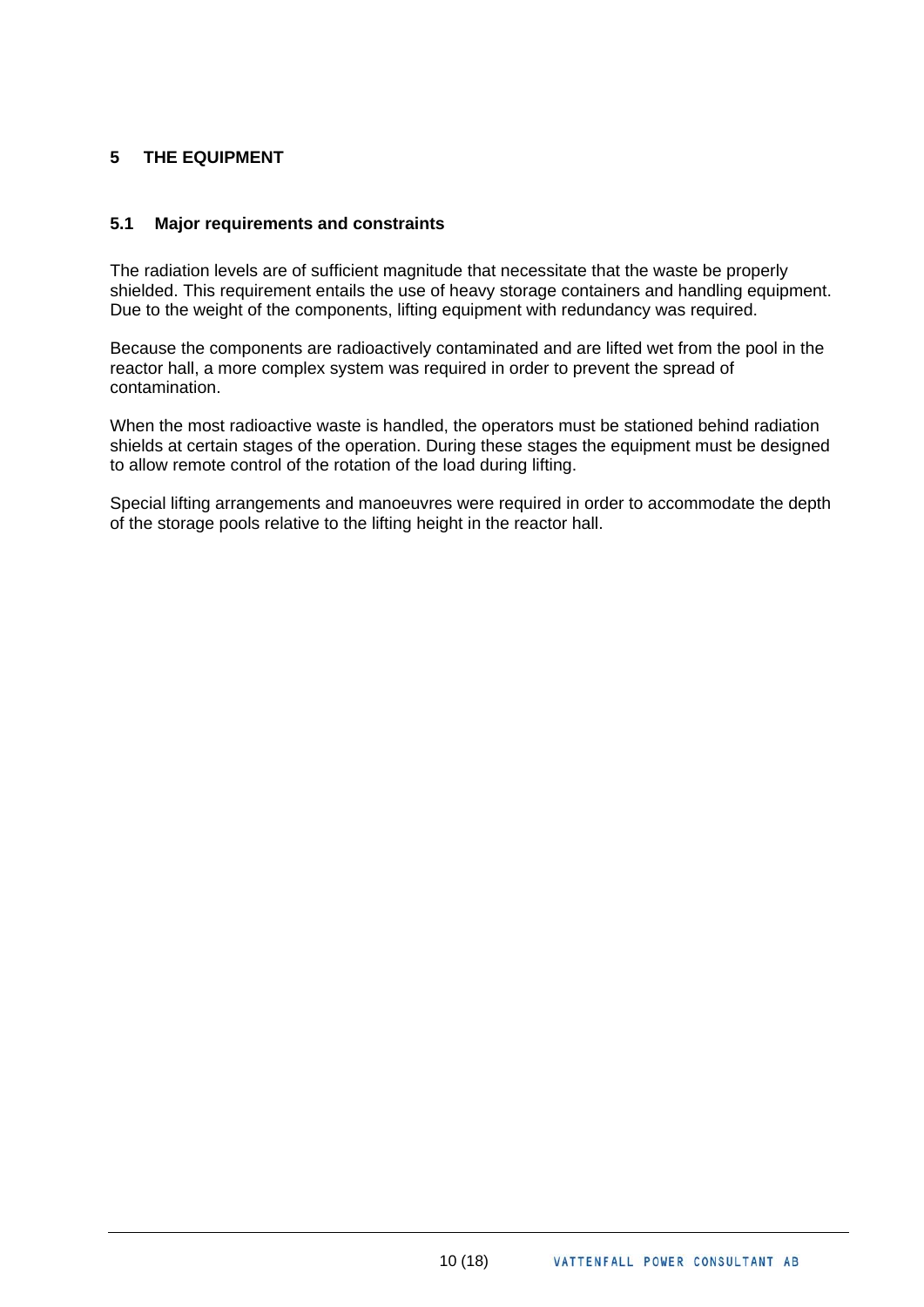# <span id="page-10-0"></span>**5 THE EQUIPMENT**

#### **5.1 Major requirements and constraints**

The radiation levels are of sufficient magnitude that necessitate that the waste be properly shielded. This requirement entails the use of heavy storage containers and handling equipment. Due to the weight of the components, lifting equipment with redundancy was required.

Because the components are radioactively contaminated and are lifted wet from the pool in the reactor hall, a more complex system was required in order to prevent the spread of contamination.

When the most radioactive waste is handled, the operators must be stationed behind radiation shields at certain stages of the operation. During these stages the equipment must be designed to allow remote control of the rotation of the load during lifting.

Special lifting arrangements and manoeuvres were required in order to accommodate the depth of the storage pools relative to the lifting height in the reactor hall.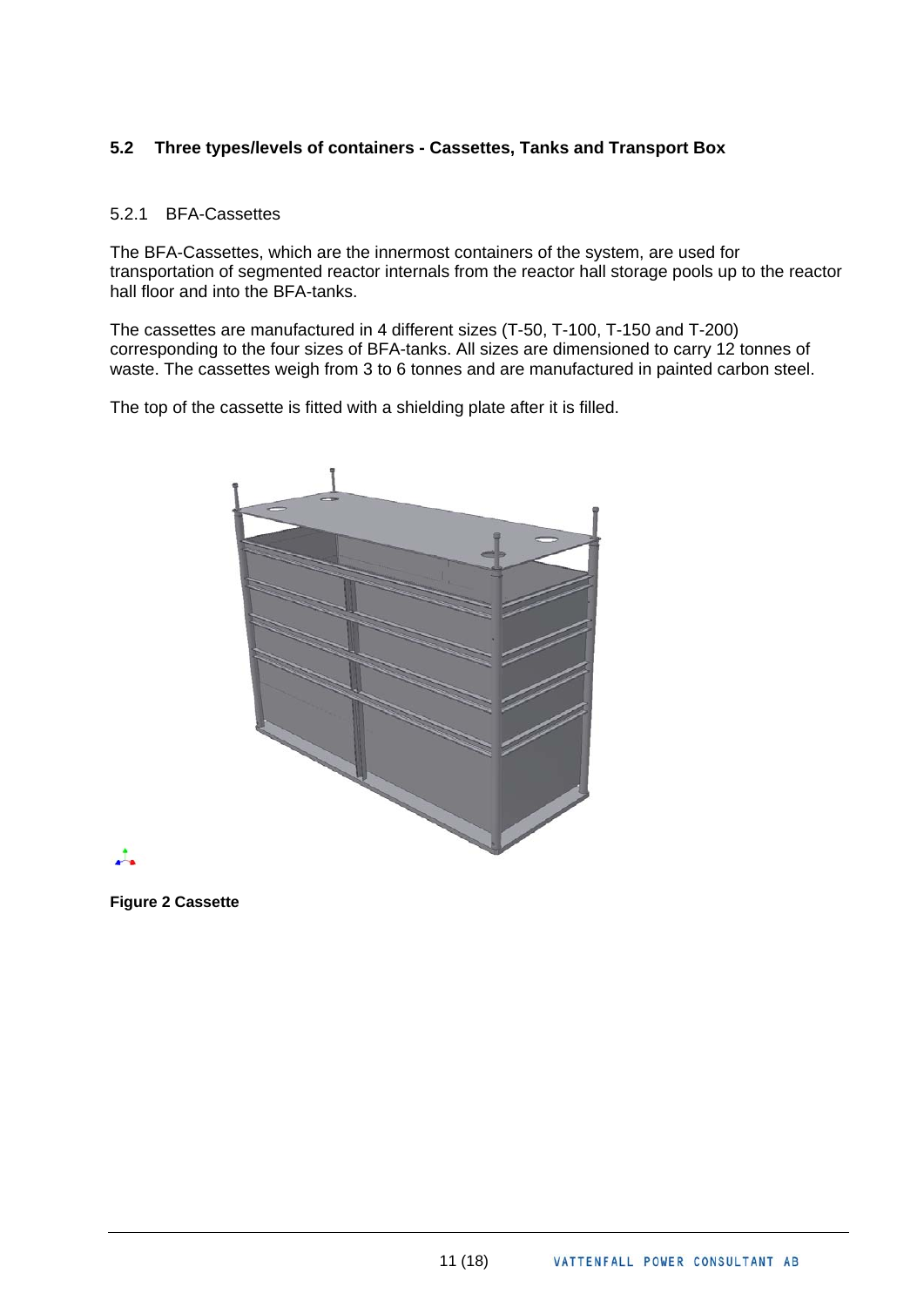# <span id="page-11-0"></span>**5.2 Three types/levels of containers - Cassettes, Tanks and Transport Box**

#### 5.2.1 BFA-Cassettes

The BFA-Cassettes, which are the innermost containers of the system, are used for transportation of segmented reactor internals from the reactor hall storage pools up to the reactor hall floor and into the BFA-tanks.

The cassettes are manufactured in 4 different sizes (T-50, T-100, T-150 and T-200) corresponding to the four sizes of BFA-tanks. All sizes are dimensioned to carry 12 tonnes of waste. The cassettes weigh from 3 to 6 tonnes and are manufactured in painted carbon steel.

The top of the cassette is fitted with a shielding plate after it is filled.





**Figure 2 Cassette**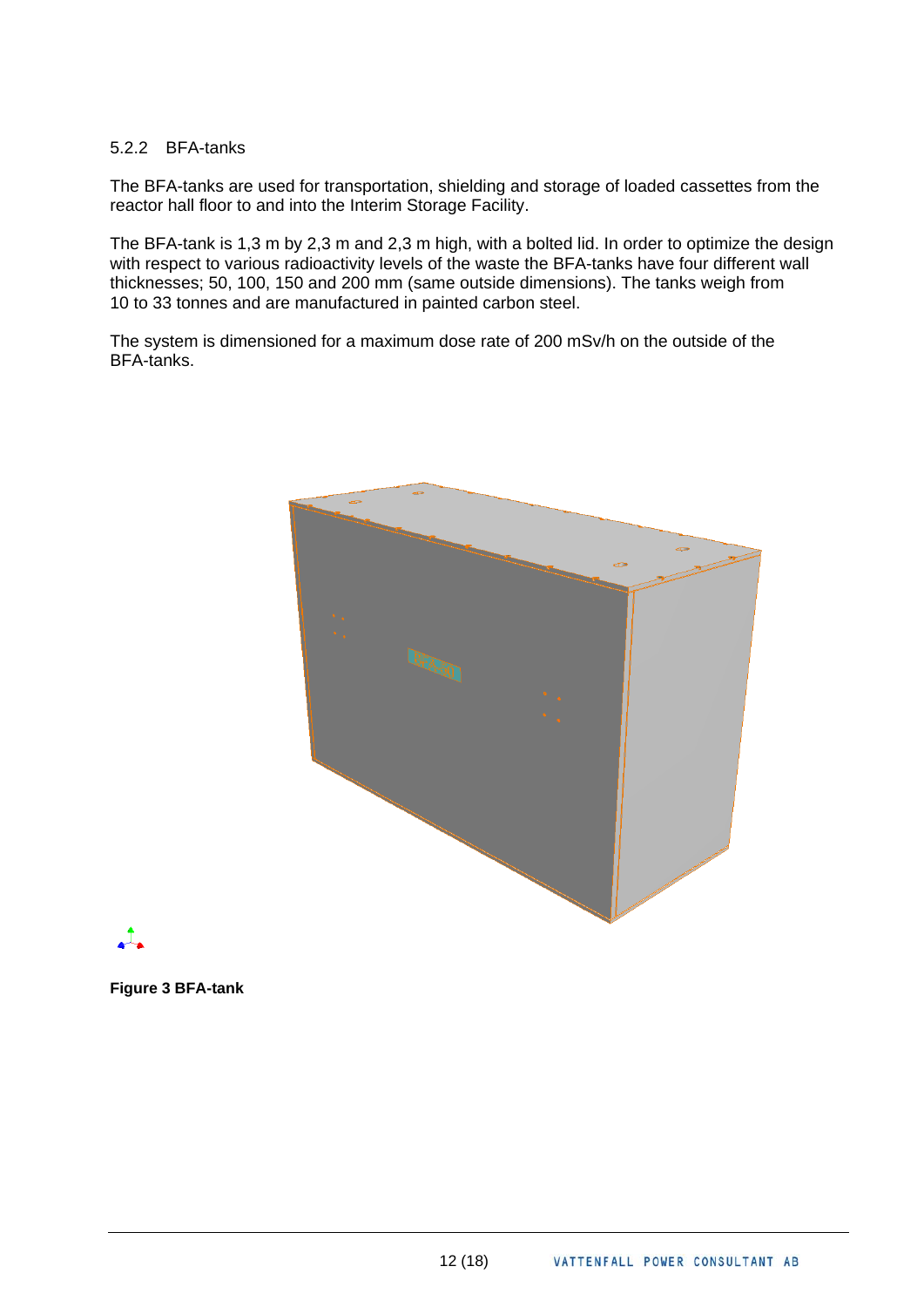#### 5.2.2 BFA-tanks

The BFA-tanks are used for transportation, shielding and storage of loaded cassettes from the reactor hall floor to and into the Interim Storage Facility.

The BFA-tank is 1,3 m by 2,3 m and 2,3 m high, with a bolted lid. In order to optimize the design with respect to various radioactivity levels of the waste the BFA-tanks have four different wall thicknesses; 50, 100, 150 and 200 mm (same outside dimensions). The tanks weigh from 10 to 33 tonnes and are manufactured in painted carbon steel.

The system is dimensioned for a maximum dose rate of 200 mSv/h on the outside of the BFA-tanks.



# $\mathcal{L}_{\bullet}$

**Figure 3 BFA-tank**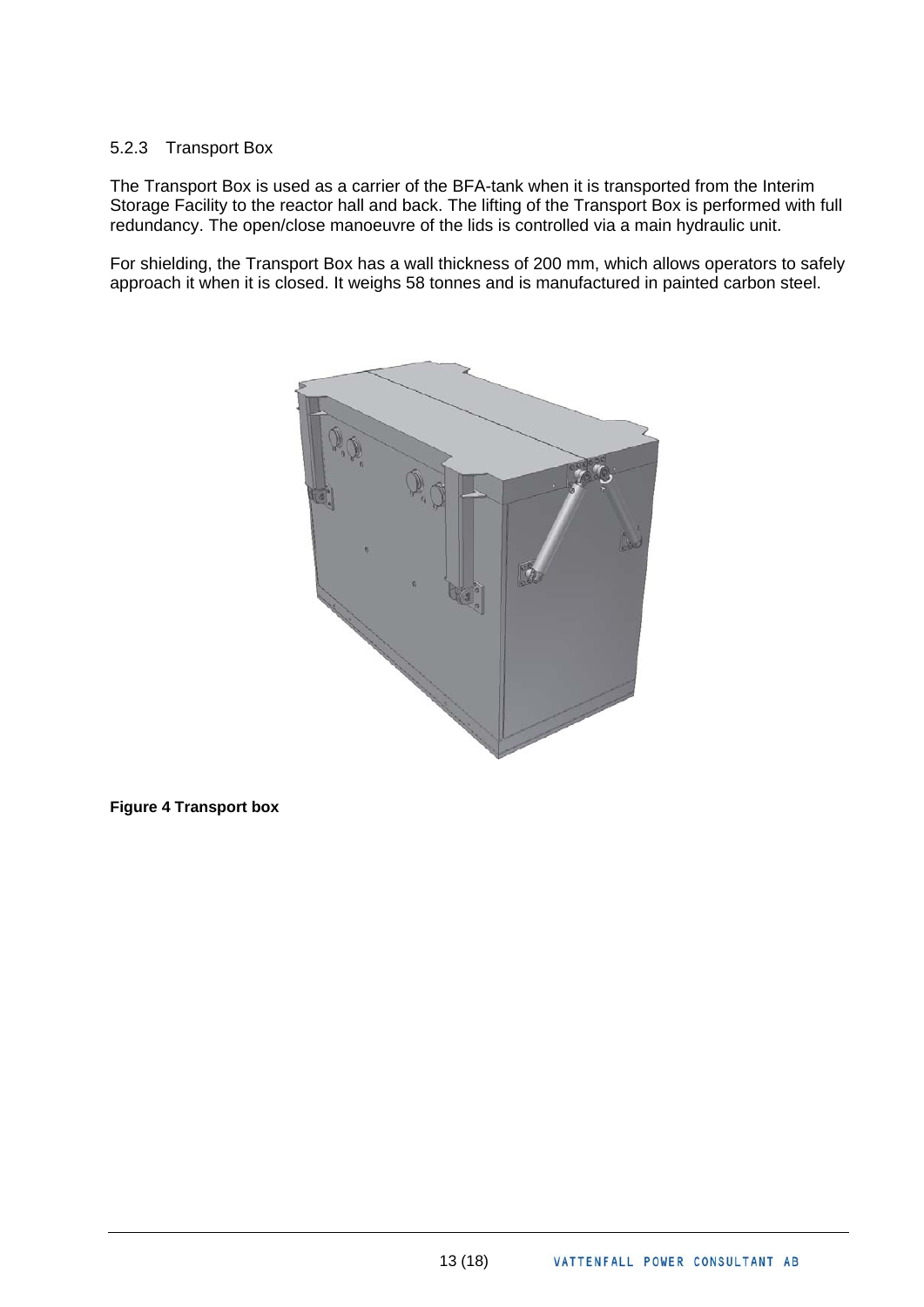### 5.2.3 Transport Box

The Transport Box is used as a carrier of the BFA-tank when it is transported from the Interim Storage Facility to the reactor hall and back. The lifting of the Transport Box is performed with full redundancy. The open/close manoeuvre of the lids is controlled via a main hydraulic unit.

For shielding, the Transport Box has a wall thickness of 200 mm, which allows operators to safely approach it when it is closed. It weighs 58 tonnes and is manufactured in painted carbon steel.



#### **Figure 4 Transport box**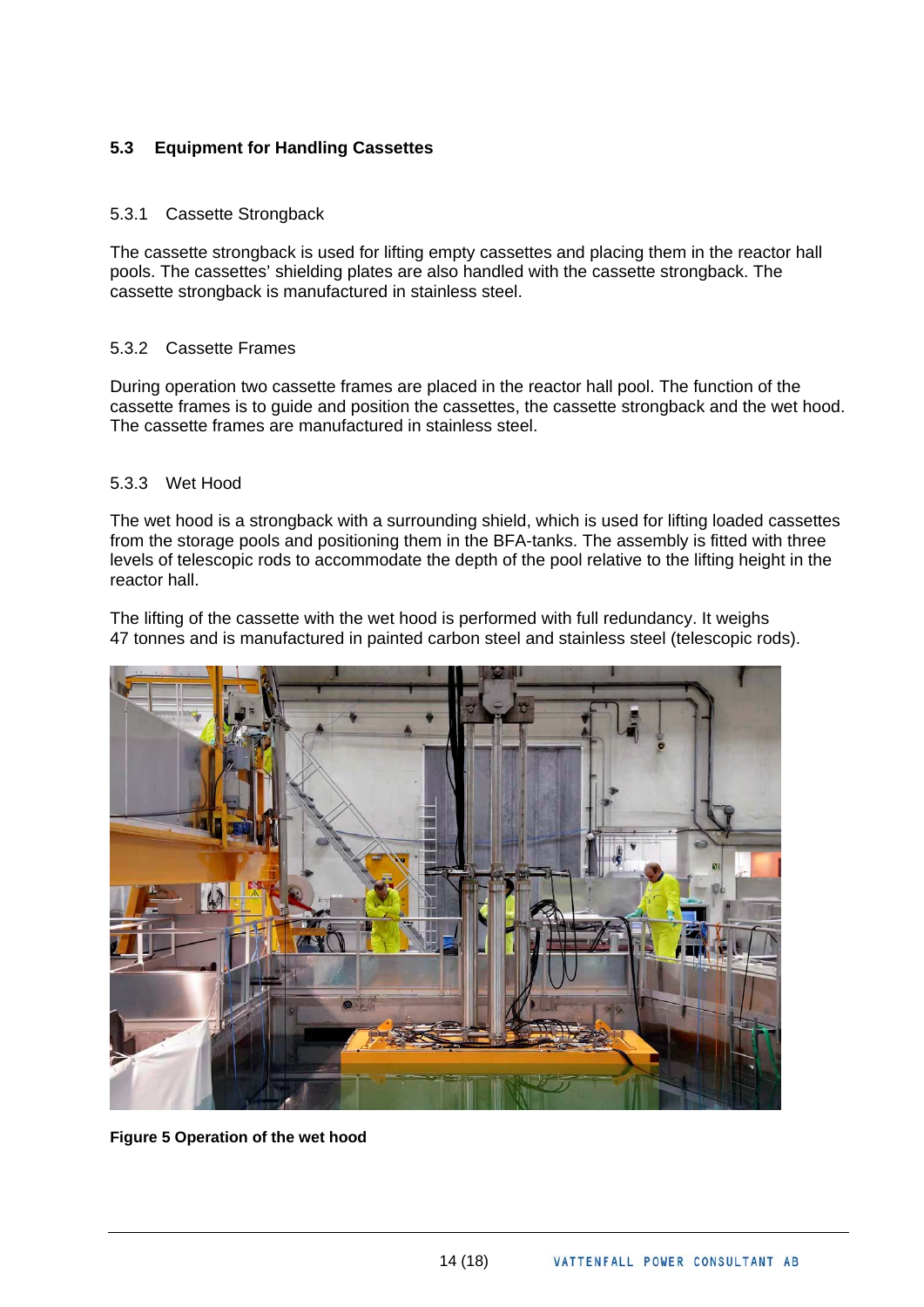# <span id="page-14-0"></span>**5.3 Equipment for Handling Cassettes**

#### 5.3.1 Cassette Strongback

The cassette strongback is used for lifting empty cassettes and placing them in the reactor hall pools. The cassettes' shielding plates are also handled with the cassette strongback. The cassette strongback is manufactured in stainless steel.

#### 5.3.2 Cassette Frames

During operation two cassette frames are placed in the reactor hall pool. The function of the cassette frames is to guide and position the cassettes, the cassette strongback and the wet hood. The cassette frames are manufactured in stainless steel.

#### 5.3.3 Wet Hood

The wet hood is a strongback with a surrounding shield, which is used for lifting loaded cassettes from the storage pools and positioning them in the BFA-tanks. The assembly is fitted with three levels of telescopic rods to accommodate the depth of the pool relative to the lifting height in the reactor hall.

The lifting of the cassette with the wet hood is performed with full redundancy. It weighs 47 tonnes and is manufactured in painted carbon steel and stainless steel (telescopic rods).



**Figure 5 Operation of the wet hood**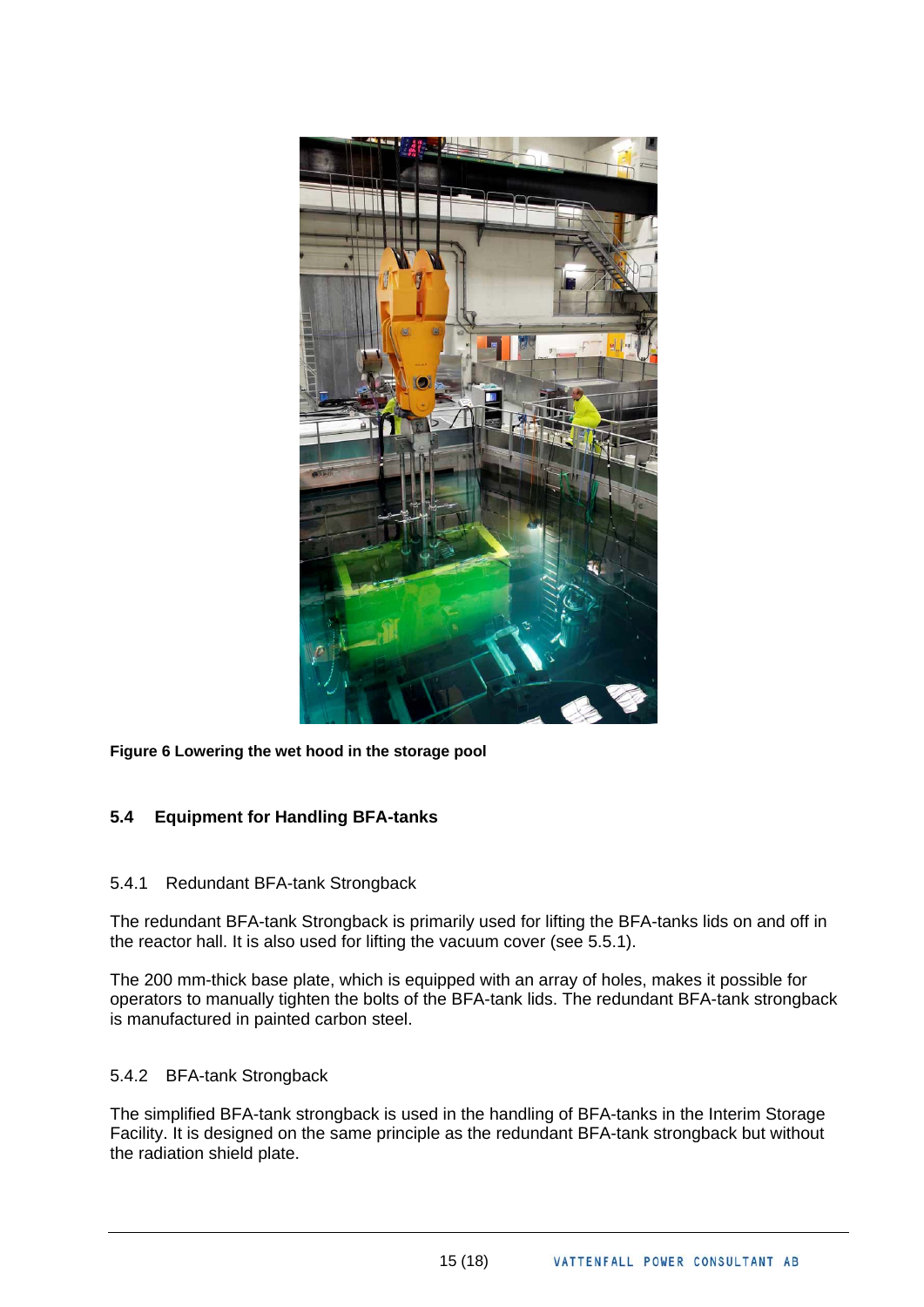<span id="page-15-0"></span>

#### **Figure 6 Lowering the wet hood in the storage pool**

# **5.4 Equipment for Handling BFA-tanks**

#### 5.4.1 Redundant BFA-tank Strongback

The redundant BFA-tank Strongback is primarily used for lifting the BFA-tanks lids on and off in the reactor hall. It is also used for lifting the vacuum cover (see 5.5.1).

The 200 mm-thick base plate, which is equipped with an array of holes, makes it possible for operators to manually tighten the bolts of the BFA-tank lids. The redundant BFA-tank strongback is manufactured in painted carbon steel.

#### 5.4.2 BFA-tank Strongback

The simplified BFA-tank strongback is used in the handling of BFA-tanks in the Interim Storage Facility. It is designed on the same principle as the redundant BFA-tank strongback but without the radiation shield plate.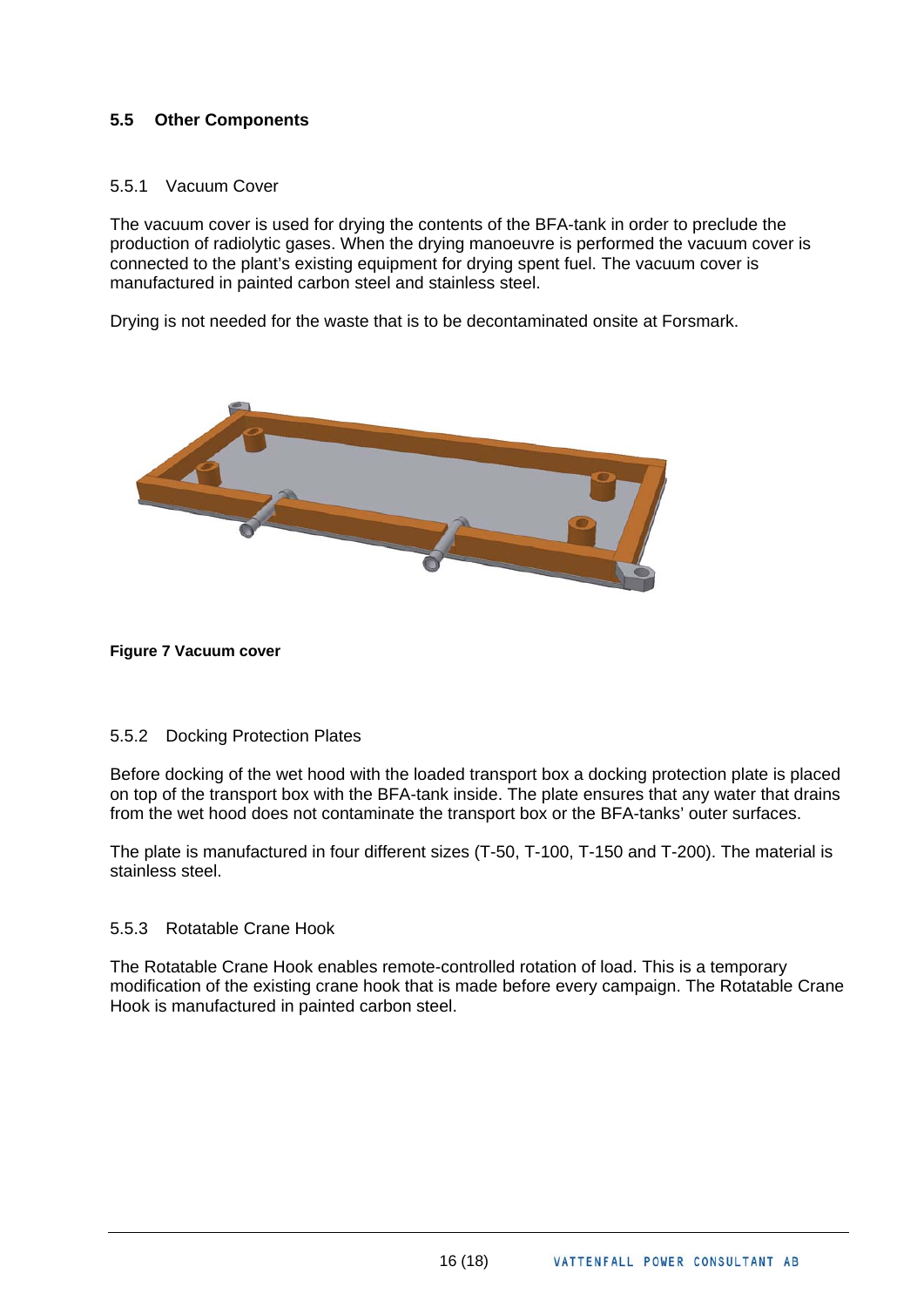# <span id="page-16-0"></span>**5.5 Other Components**

#### 5.5.1 Vacuum Cover

The vacuum cover is used for drying the contents of the BFA-tank in order to preclude the production of radiolytic gases. When the drying manoeuvre is performed the vacuum cover is connected to the plant's existing equipment for drying spent fuel. The vacuum cover is manufactured in painted carbon steel and stainless steel.

Drying is not needed for the waste that is to be decontaminated onsite at Forsmark.



#### **Figure 7 Vacuum cover**

#### 5.5.2 Docking Protection Plates

Before docking of the wet hood with the loaded transport box a docking protection plate is placed on top of the transport box with the BFA-tank inside. The plate ensures that any water that drains from the wet hood does not contaminate the transport box or the BFA-tanks' outer surfaces.

The plate is manufactured in four different sizes (T-50, T-100, T-150 and T-200). The material is stainless steel.

#### 5.5.3 Rotatable Crane Hook

The Rotatable Crane Hook enables remote-controlled rotation of load. This is a temporary modification of the existing crane hook that is made before every campaign. The Rotatable Crane Hook is manufactured in painted carbon steel.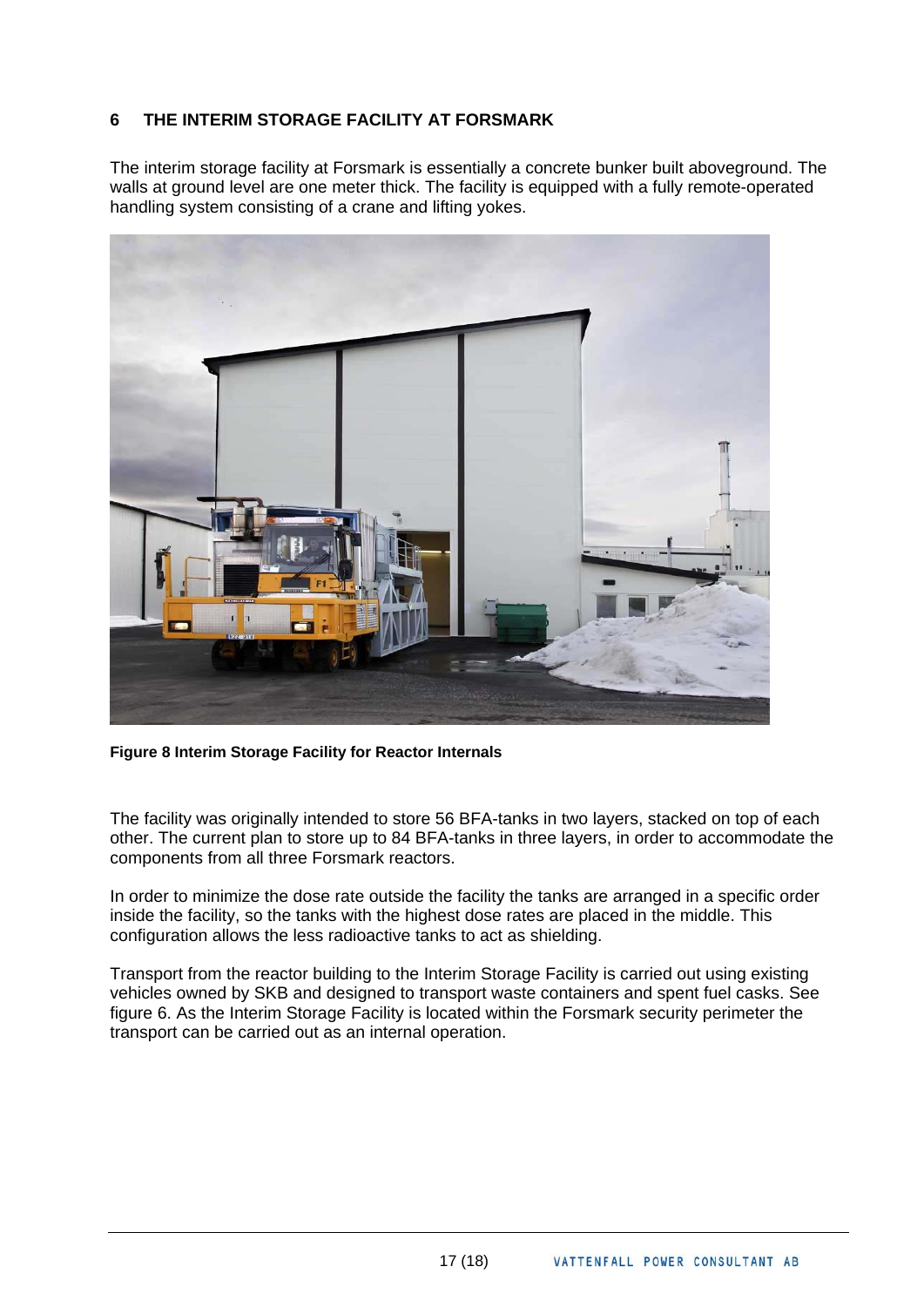# <span id="page-17-0"></span>**6 THE INTERIM STORAGE FACILITY AT FORSMARK**

The interim storage facility at Forsmark is essentially a concrete bunker built aboveground. The walls at ground level are one meter thick. The facility is equipped with a fully remote-operated handling system consisting of a crane and lifting yokes.



**Figure 8 Interim Storage Facility for Reactor Internals** 

The facility was originally intended to store 56 BFA-tanks in two layers, stacked on top of each other. The current plan to store up to 84 BFA-tanks in three layers, in order to accommodate the components from all three Forsmark reactors.

In order to minimize the dose rate outside the facility the tanks are arranged in a specific order inside the facility, so the tanks with the highest dose rates are placed in the middle. This configuration allows the less radioactive tanks to act as shielding.

Transport from the reactor building to the Interim Storage Facility is carried out using existing vehicles owned by SKB and designed to transport waste containers and spent fuel casks. See figure 6. As the Interim Storage Facility is located within the Forsmark security perimeter the transport can be carried out as an internal operation.